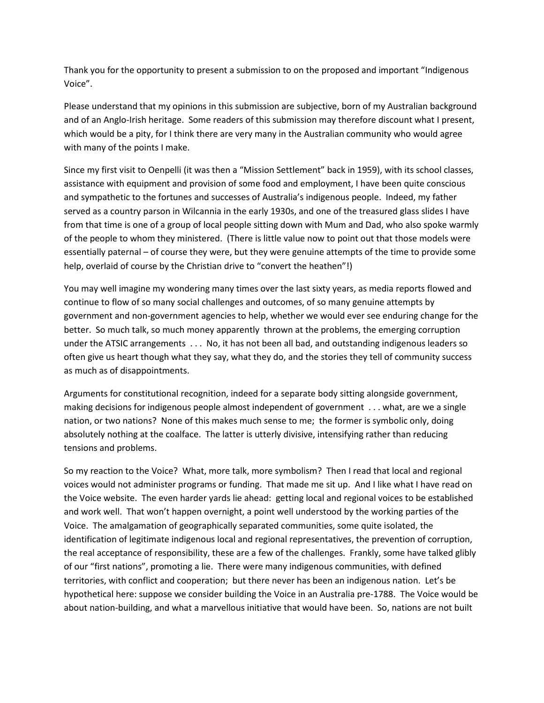Thank you for the opportunity to present a submission to on the proposed and important "Indigenous Voice".

Please understand that my opinions in this submission are subjective, born of my Australian background and of an Anglo-Irish heritage. Some readers of this submission may therefore discount what I present, which would be a pity, for I think there are very many in the Australian community who would agree with many of the points I make.

Since my first visit to Oenpelli (it was then a "Mission Settlement" back in 1959), with its school classes, assistance with equipment and provision of some food and employment, I have been quite conscious and sympathetic to the fortunes and successes of Australia's indigenous people. Indeed, my father served as a country parson in Wilcannia in the early 1930s, and one of the treasured glass slides I have from that time is one of a group of local people sitting down with Mum and Dad, who also spoke warmly of the people to whom they ministered. (There is little value now to point out that those models were essentially paternal – of course they were, but they were genuine attempts of the time to provide some help, overlaid of course by the Christian drive to "convert the heathen"!)

You may well imagine my wondering many times over the last sixty years, as media reports flowed and continue to flow of so many social challenges and outcomes, of so many genuine attempts by government and non-government agencies to help, whether we would ever see enduring change for the better. So much talk, so much money apparently thrown at the problems, the emerging corruption under the ATSIC arrangements . . . No, it has not been all bad, and outstanding indigenous leaders so often give us heart though what they say, what they do, and the stories they tell of community success as much as of disappointments.

Arguments for constitutional recognition, indeed for a separate body sitting alongside government, making decisions for indigenous people almost independent of government . . . what, are we a single nation, or two nations? None of this makes much sense to me; the former is symbolic only, doing absolutely nothing at the coalface. The latter is utterly divisive, intensifying rather than reducing tensions and problems.

So my reaction to the Voice? What, more talk, more symbolism? Then I read that local and regional voices would not administer programs or funding. That made me sit up. And I like what I have read on the Voice website. The even harder yards lie ahead: getting local and regional voices to be established and work well. That won't happen overnight, a point well understood by the working parties of the Voice. The amalgamation of geographically separated communities, some quite isolated, the identification of legitimate indigenous local and regional representatives, the prevention of corruption, the real acceptance of responsibility, these are a few of the challenges. Frankly, some have talked glibly of our "first nations", promoting a lie. There were many indigenous communities, with defined territories, with conflict and cooperation; but there never has been an indigenous nation. Let's be hypothetical here: suppose we consider building the Voice in an Australia pre-1788. The Voice would be about nation-building, and what a marvellous initiative that would have been. So, nations are not built